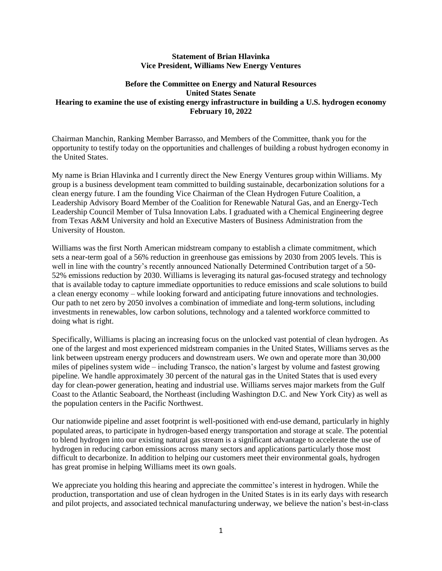#### **Statement of Brian Hlavinka Vice President, Williams New Energy Ventures**

# **Before the Committee on Energy and Natural Resources United States Senate Hearing to examine the use of existing energy infrastructure in building a U.S. hydrogen economy February 10, 2022**

Chairman Manchin, Ranking Member Barrasso, and Members of the Committee, thank you for the opportunity to testify today on the opportunities and challenges of building a robust hydrogen economy in the United States.

My name is Brian Hlavinka and I currently direct the New Energy Ventures group within Williams. My group is a business development team committed to building sustainable, decarbonization solutions for a clean energy future. I am the founding Vice Chairman of the Clean Hydrogen Future Coalition, a Leadership Advisory Board Member of the Coalition for Renewable Natural Gas, and an Energy-Tech Leadership Council Member of Tulsa Innovation Labs. I graduated with a Chemical Engineering degree from Texas A&M University and hold an Executive Masters of Business Administration from the University of Houston.

Williams was the first North American midstream company to establish a climate commitment, which sets a near-term goal of a 56% reduction in greenhouse gas emissions by 2030 from 2005 levels. This is well in line with the country's recently announced Nationally Determined Contribution target of a [50-](https://www.whitehouse.gov/briefing-room/statements-releases/2021/04/22/fact-sheet-president-biden-sets-2030-greenhouse-gas-pollution-reduction-target-aimed-at-creating-good-paying-union-jobs-and-securing-u-s-leadership-on-clean-energy-technologies/) [52% emissions reduction by 2030.](https://www.whitehouse.gov/briefing-room/statements-releases/2021/04/22/fact-sheet-president-biden-sets-2030-greenhouse-gas-pollution-reduction-target-aimed-at-creating-good-paying-union-jobs-and-securing-u-s-leadership-on-clean-energy-technologies/) Williams is leveraging its natural gas-focused strategy and technology that is available today to capture immediate opportunities to reduce emissions and scale solutions to build a clean energy economy – while looking forward and anticipating future innovations and technologies. Our path to net zero by 2050 involves a combination of immediate and long-term solutions, including investments in renewables, low carbon solutions, technology and a talented workforce committed to doing what is right.

Specifically, Williams is placing an increasing focus on the unlocked vast potential of clean hydrogen. As one of the largest and most experienced midstream companies in the United States, Williams serves as the link between upstream energy producers and downstream users. We own and operate more than 30,000 miles of pipelines system wide – including Transco, the nation's largest by volume and fastest growing pipeline. We handle approximately 30 percent of the natural gas in the United States that is used every day for clean-power generation, heating and industrial use. Williams serves major markets from the Gulf Coast to the Atlantic Seaboard, the Northeast (including Washington D.C. and New York City) as well as the population centers in the Pacific Northwest.

Our nationwide pipeline and asset footprint is well-positioned with end-use demand, particularly in highly populated areas, to participate in hydrogen-based energy transportation and storage at scale. The potential to blend hydrogen into our existing natural gas stream is a significant advantage to accelerate the use of hydrogen in reducing carbon emissions across many sectors and applications particularly those most difficult to decarbonize. In addition to helping our customers meet their environmental goals, hydrogen has great promise in helping Williams meet its own goals.

We appreciate you holding this hearing and appreciate the committee's interest in hydrogen. While the production, transportation and use of clean hydrogen in the United States is in its early days with research and pilot projects, and associated technical manufacturing underway, we believe the nation's best-in-class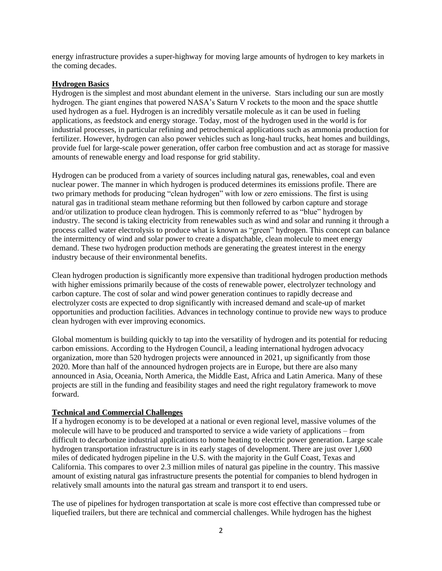energy infrastructure provides a super-highway for moving large amounts of hydrogen to key markets in the coming decades.

#### **Hydrogen Basics**

Hydrogen is the simplest and most abundant element in the universe. Stars including our sun are mostly hydrogen. The giant engines that powered NASA's Saturn V rockets to the moon and the space shuttle used hydrogen as a fuel. Hydrogen is an incredibly versatile molecule as it can be used in fueling applications, as feedstock and energy storage. Today, most of the hydrogen used in the world is for industrial processes, in particular refining and petrochemical applications such as ammonia production for fertilizer. However, hydrogen can also power vehicles such as long-haul trucks, heat homes and buildings, provide fuel for large-scale power generation, offer carbon free combustion and act as storage for massive amounts of renewable energy and load response for grid stability.

Hydrogen can be produced from a variety of sources including natural gas, renewables, coal and even nuclear power. The manner in which hydrogen is produced determines its emissions profile. There are two primary methods for producing "clean hydrogen" with low or zero emissions. The first is using natural gas in traditional steam methane reforming but then followed by carbon capture and storage and/or utilization to produce clean hydrogen. This is commonly referred to as "blue" hydrogen by industry. The second is taking electricity from renewables such as wind and solar and running it through a process called water electrolysis to produce what is known as "green" hydrogen. This concept can balance the intermittency of wind and solar power to create a dispatchable, clean molecule to meet energy demand. These two hydrogen production methods are generating the greatest interest in the energy industry because of their environmental benefits.

Clean hydrogen production is significantly more expensive than traditional hydrogen production methods with higher emissions primarily because of the costs of renewable power, electrolyzer technology and carbon capture. The cost of solar and wind power generation continues to rapidly decrease and electrolyzer costs are expected to drop significantly with increased demand and scale-up of market opportunities and production facilities. Advances in technology continue to provide new ways to produce clean hydrogen with ever improving economics.

Global momentum is building quickly to tap into the versatility of hydrogen and its potential for reducing carbon emissions. According to the Hydrogen Council, a leading international hydrogen advocacy organization, more than 520 hydrogen projects were announced in 2021, up significantly from those 2020. More than half of the announced hydrogen projects are in Europe, but there are also many announced in Asia, Oceania, North America, the Middle East, Africa and Latin America. Many of these projects are still in the funding and feasibility stages and need the right regulatory framework to move forward.

### **Technical and Commercial Challenges**

If a hydrogen economy is to be developed at a national or even regional level, massive volumes of the molecule will have to be produced and transported to service a wide variety of applications – from difficult to decarbonize industrial applications to home heating to electric power generation. Large scale hydrogen transportation infrastructure is in its early stages of development. There are just over 1,600 miles of dedicated hydrogen pipeline in the U.S. with the majority in the Gulf Coast, Texas and California. This compares to over 2.3 million miles of natural gas pipeline in the country. This massive amount of existing natural gas infrastructure presents the potential for companies to blend hydrogen in relatively small amounts into the natural gas stream and transport it to end users.

The use of pipelines for hydrogen transportation at scale is more cost effective than compressed tube or liquefied trailers, but there are technical and commercial challenges. While hydrogen has the highest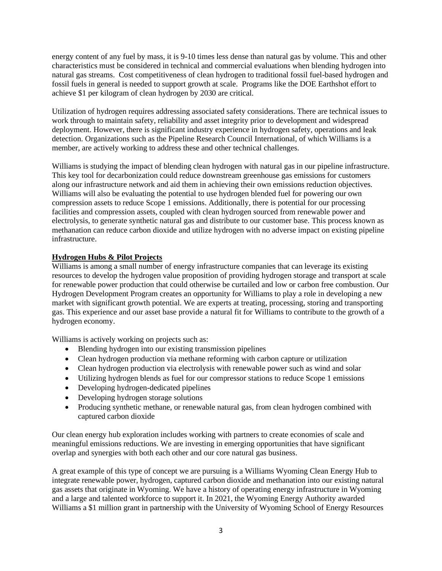energy content of any fuel by mass, it is 9-10 times less dense than natural gas by volume. This and other characteristics must be considered in technical and commercial evaluations when blending hydrogen into natural gas streams. Cost competitiveness of clean hydrogen to traditional fossil fuel-based hydrogen and fossil fuels in general is needed to support growth at scale. Programs like the DOE Earthshot effort to achieve \$1 per kilogram of clean hydrogen by 2030 are critical.

Utilization of hydrogen requires addressing associated safety considerations. There are technical issues to work through to maintain safety, reliability and asset integrity prior to development and widespread deployment. However, there is significant industry experience in hydrogen safety, operations and leak detection. Organizations such as the Pipeline Research Council International, of which Williams is a member, are actively working to address these and other technical challenges.

Williams is studying the impact of blending clean hydrogen with natural gas in our pipeline infrastructure. This key tool for decarbonization could reduce downstream greenhouse gas emissions for customers along our infrastructure network and aid them in achieving their own emissions reduction objectives. Williams will also be evaluating the potential to use hydrogen blended fuel for powering our own compression assets to reduce Scope 1 emissions. Additionally, there is potential for our processing facilities and compression assets, coupled with clean hydrogen sourced from renewable power and electrolysis, to generate synthetic natural gas and distribute to our customer base. This process known as methanation can reduce carbon dioxide and utilize hydrogen with no adverse impact on existing pipeline infrastructure.

# **Hydrogen Hubs & Pilot Projects**

Williams is among a small number of energy infrastructure companies that can leverage its existing resources to develop the hydrogen value proposition of providing hydrogen storage and transport at scale for renewable power production that could otherwise be curtailed and low or carbon free combustion. Our Hydrogen Development Program creates an opportunity for Williams to play a role in developing a new market with significant growth potential. We are experts at treating, processing, storing and transporting gas. This experience and our asset base provide a natural fit for Williams to contribute to the growth of a hydrogen economy.

Williams is actively working on projects such as:

- Blending hydrogen into our existing transmission pipelines
- Clean hydrogen production via methane reforming with carbon capture or utilization
- Clean hydrogen production via electrolysis with renewable power such as wind and solar
- Utilizing hydrogen blends as fuel for our compressor stations to reduce Scope 1 emissions
- Developing hydrogen-dedicated pipelines
- Developing hydrogen storage solutions
- Producing synthetic methane, or renewable natural gas, from clean hydrogen combined with captured carbon dioxide

Our clean energy hub exploration includes working with partners to create economies of scale and meaningful emissions reductions. We are investing in emerging opportunities that have significant overlap and synergies with both each other and our core natural gas business.

A great example of this type of concept we are pursuing is a Williams Wyoming Clean Energy Hub to integrate renewable power, hydrogen, captured carbon dioxide and methanation into our existing natural gas assets that originate in Wyoming. We have a history of operating energy infrastructure in Wyoming and a large and talented workforce to support it. In 2021, the Wyoming Energy Authority awarded Williams a \$1 million grant in partnership with the University of Wyoming School of Energy Resources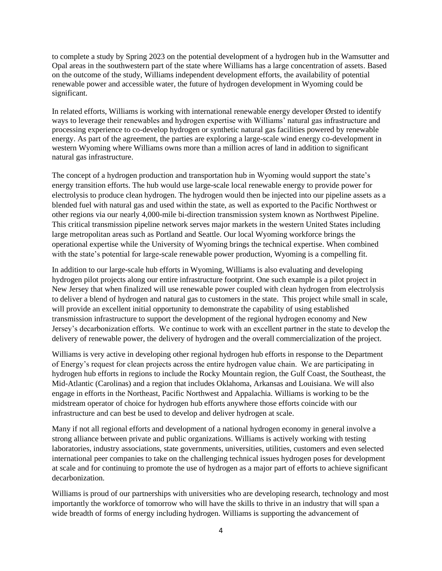to complete a study by Spring 2023 on the potential development of a hydrogen hub in the Wamsutter and Opal areas in the southwestern part of the state where Williams has a large concentration of assets. Based on the outcome of the study, Williams independent development efforts, the availability of potential renewable power and accessible water, the future of hydrogen development in Wyoming could be significant.

In related efforts, Williams is working with international renewable energy developer Ørsted to identify ways to leverage their renewables and hydrogen expertise with Williams' natural gas infrastructure and processing experience to co-develop hydrogen or synthetic natural gas facilities powered by renewable energy. As part of the agreement, the parties are exploring a large-scale wind energy co-development in western Wyoming where Williams owns more than a million acres of land in addition to significant natural gas infrastructure.

The concept of a hydrogen production and transportation hub in Wyoming would support the state's energy transition efforts. The hub would use large-scale local renewable energy to provide power for electrolysis to produce clean hydrogen. The hydrogen would then be injected into our pipeline assets as a blended fuel with natural gas and used within the state, as well as exported to the Pacific Northwest or other regions via our nearly 4,000-mile bi-direction transmission system known as Northwest Pipeline. This critical transmission pipeline network serves major markets in the western United States including large metropolitan areas such as Portland and Seattle. Our local Wyoming workforce brings the operational expertise while the University of Wyoming brings the technical expertise. When combined with the state's potential for large-scale renewable power production, Wyoming is a compelling fit.

In addition to our large-scale hub efforts in Wyoming, Williams is also evaluating and developing hydrogen pilot projects along our entire infrastructure footprint. One such example is a pilot project in New Jersey that when finalized will use renewable power coupled with clean hydrogen from electrolysis to deliver a blend of hydrogen and natural gas to customers in the state. This project while small in scale, will provide an excellent initial opportunity to demonstrate the capability of using established transmission infrastructure to support the development of the regional hydrogen economy and New Jersey's decarbonization efforts. We continue to work with an excellent partner in the state to develop the delivery of renewable power, the delivery of hydrogen and the overall commercialization of the project.

Williams is very active in developing other regional hydrogen hub efforts in response to the Department of Energy's request for clean projects across the entire hydrogen value chain. We are participating in hydrogen hub efforts in regions to include the Rocky Mountain region, the Gulf Coast, the Southeast, the Mid-Atlantic (Carolinas) and a region that includes Oklahoma, Arkansas and Louisiana. We will also engage in efforts in the Northeast, Pacific Northwest and Appalachia. Williams is working to be the midstream operator of choice for hydrogen hub efforts anywhere those efforts coincide with our infrastructure and can best be used to develop and deliver hydrogen at scale.

Many if not all regional efforts and development of a national hydrogen economy in general involve a strong alliance between private and public organizations. Williams is actively working with testing laboratories, industry associations, state governments, universities, utilities, customers and even selected international peer companies to take on the challenging technical issues hydrogen poses for development at scale and for continuing to promote the use of hydrogen as a major part of efforts to achieve significant decarbonization.

Williams is proud of our partnerships with universities who are developing research, technology and most importantly the workforce of tomorrow who will have the skills to thrive in an industry that will span a wide breadth of forms of energy including hydrogen. Williams is supporting the advancement of